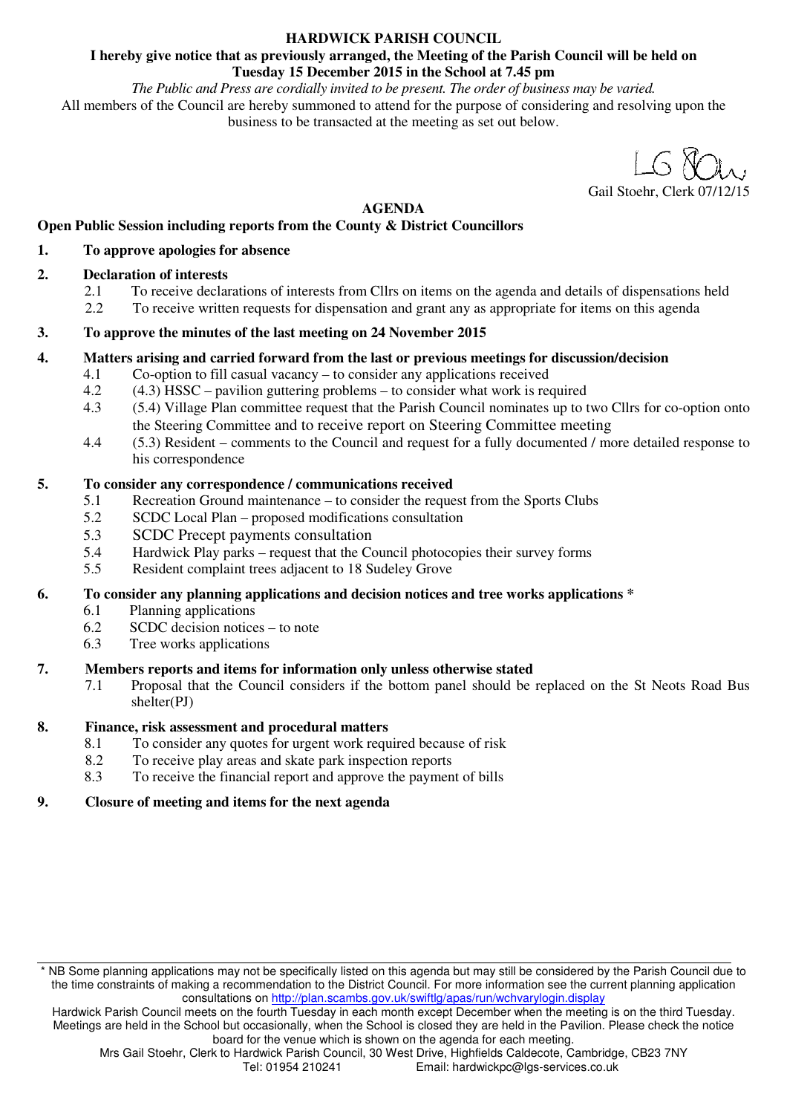### **HARDWICK PARISH COUNCIL**

### **I hereby give notice that as previously arranged, the Meeting of the Parish Council will be held on Tuesday 15 December 2015 in the School at 7.45 pm**

*The Public and Press are cordially invited to be present. The order of business may be varied.*  All members of the Council are hereby summoned to attend for the purpose of considering and resolving upon the business to be transacted at the meeting as set out below.

Gail Stoehr, Clerk

**AGENDA** 

### **Open Public Session including reports from the County & District Councillors**

### **1. To approve apologies for absence**

### **2. Declaration of interests**

- 2.1 To receive declarations of interests from Cllrs on items on the agenda and details of dispensations held
- 2.2 To receive written requests for dispensation and grant any as appropriate for items on this agenda

### **3. To approve the minutes of the last meeting on 24 November 2015**

### **4. Matters arising and carried forward from the last or previous meetings for discussion/decision**

- 4.1 Co-option to fill casual vacancy to consider any applications received
- 4.2 (4.3) HSSC pavilion guttering problems to consider what work is required
- 4.3 (5.4) Village Plan committee request that the Parish Council nominates up to two Cllrs for co-option onto the Steering Committee and to receive report on Steering Committee meeting
- 4.4 (5.3) Resident comments to the Council and request for a fully documented / more detailed response to his correspondence

### **5. To consider any correspondence / communications received**

- 5.1 Recreation Ground maintenance to consider the request from the Sports Clubs<br>5.2 SCDC Local Plan proposed modifications consultation
- 5.2 SCDC Local Plan proposed modifications consultation
- 5.3 SCDC Precept payments consultation
- 5.4 Hardwick Play parks request that the Council photocopies their survey forms
- 5.5 Resident complaint trees adjacent to 18 Sudeley Grove

### **6. To consider any planning applications and decision notices and tree works applications \***

- 6.1 Planning applications
- 6.2 SCDC decision notices to note
- 6.3 Tree works applications

### **7. Members reports and items for information only unless otherwise stated**

7.1 Proposal that the Council considers if the bottom panel should be replaced on the St Neots Road Bus shelter(PJ)

### **8. Finance, risk assessment and procedural matters**

- 8.1 To consider any quotes for urgent work required because of risk<br>8.2 To receive play areas and skate park inspection reports
- To receive play areas and skate park inspection reports
- 8.3 To receive the financial report and approve the payment of bills

### **9. Closure of meeting and items for the next agenda**

<sup>\*</sup> NB Some planning applications may not be specifically listed on this agenda but may still be considered by the Parish Council due to the time constraints of making a recommendation to the District Council. For more information see the current planning application consultations on http://plan.scambs.gov.uk/swiftlg/apas/run/wchvarylogin.display

Hardwick Parish Council meets on the fourth Tuesday in each month except December when the meeting is on the third Tuesday. Meetings are held in the School but occasionally, when the School is closed they are held in the Pavilion. Please check the notice board for the venue which is shown on the agenda for each meeting.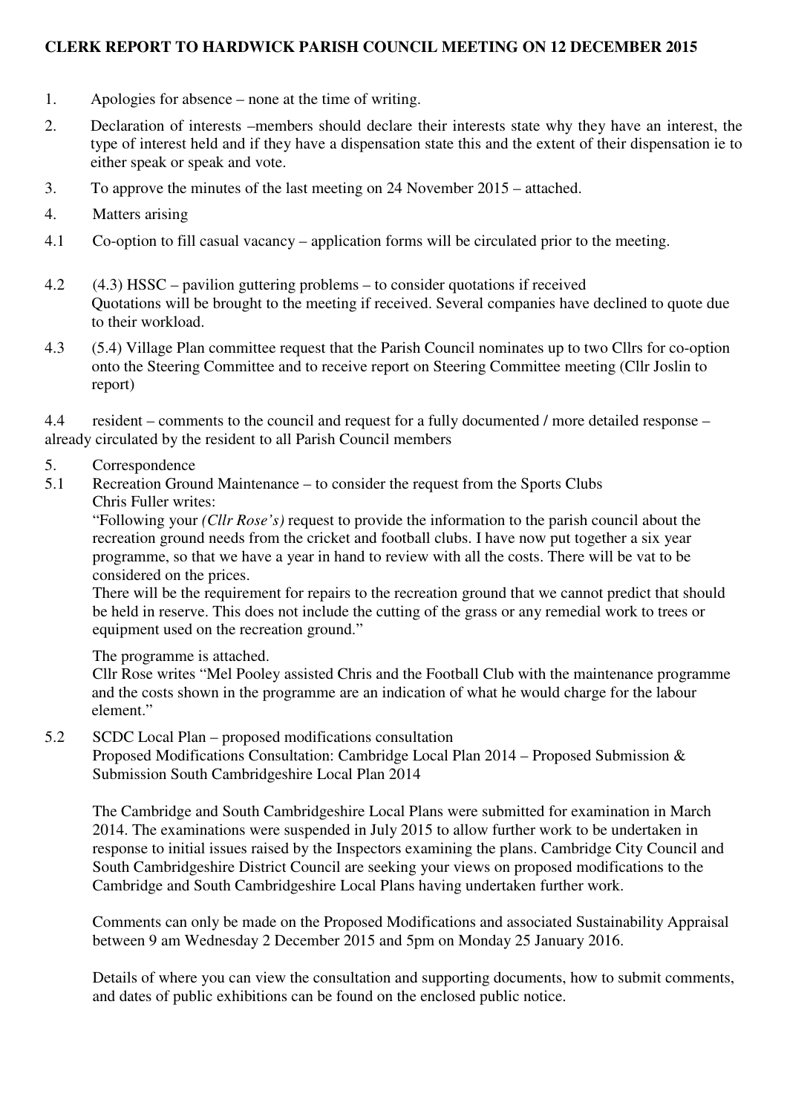## **CLERK REPORT TO HARDWICK PARISH COUNCIL MEETING ON 12 DECEMBER 2015**

- 1. Apologies for absence none at the time of writing.
- 2. Declaration of interests –members should declare their interests state why they have an interest, the type of interest held and if they have a dispensation state this and the extent of their dispensation ie to either speak or speak and vote.
- 3. To approve the minutes of the last meeting on 24 November 2015 attached.
- 4. Matters arising
- 4.1 Co-option to fill casual vacancy application forms will be circulated prior to the meeting.
- 4.2 (4.3) HSSC pavilion guttering problems to consider quotations if received Quotations will be brought to the meeting if received. Several companies have declined to quote due to their workload.
- 4.3 (5.4) Village Plan committee request that the Parish Council nominates up to two Cllrs for co-option onto the Steering Committee and to receive report on Steering Committee meeting (Cllr Joslin to report)

4.4 resident – comments to the council and request for a fully documented / more detailed response – already circulated by the resident to all Parish Council members

- 5. Correspondence
- 5.1 Recreation Ground Maintenance to consider the request from the Sports Clubs
	- Chris Fuller writes:

"Following your *(Cllr Rose's)* request to provide the information to the parish council about the recreation ground needs from the cricket and football clubs. I have now put together a six year programme, so that we have a year in hand to review with all the costs. There will be vat to be considered on the prices.

There will be the requirement for repairs to the recreation ground that we cannot predict that should be held in reserve. This does not include the cutting of the grass or any remedial work to trees or equipment used on the recreation ground."

The programme is attached.

Cllr Rose writes "Mel Pooley assisted Chris and the Football Club with the maintenance programme and the costs shown in the programme are an indication of what he would charge for the labour element."

5.2 SCDC Local Plan – proposed modifications consultation

Proposed Modifications Consultation: Cambridge Local Plan 2014 – Proposed Submission & Submission South Cambridgeshire Local Plan 2014

The Cambridge and South Cambridgeshire Local Plans were submitted for examination in March 2014. The examinations were suspended in July 2015 to allow further work to be undertaken in response to initial issues raised by the Inspectors examining the plans. Cambridge City Council and South Cambridgeshire District Council are seeking your views on proposed modifications to the Cambridge and South Cambridgeshire Local Plans having undertaken further work.

Comments can only be made on the Proposed Modifications and associated Sustainability Appraisal between 9 am Wednesday 2 December 2015 and 5pm on Monday 25 January 2016.

Details of where you can view the consultation and supporting documents, how to submit comments, and dates of public exhibitions can be found on the enclosed public notice.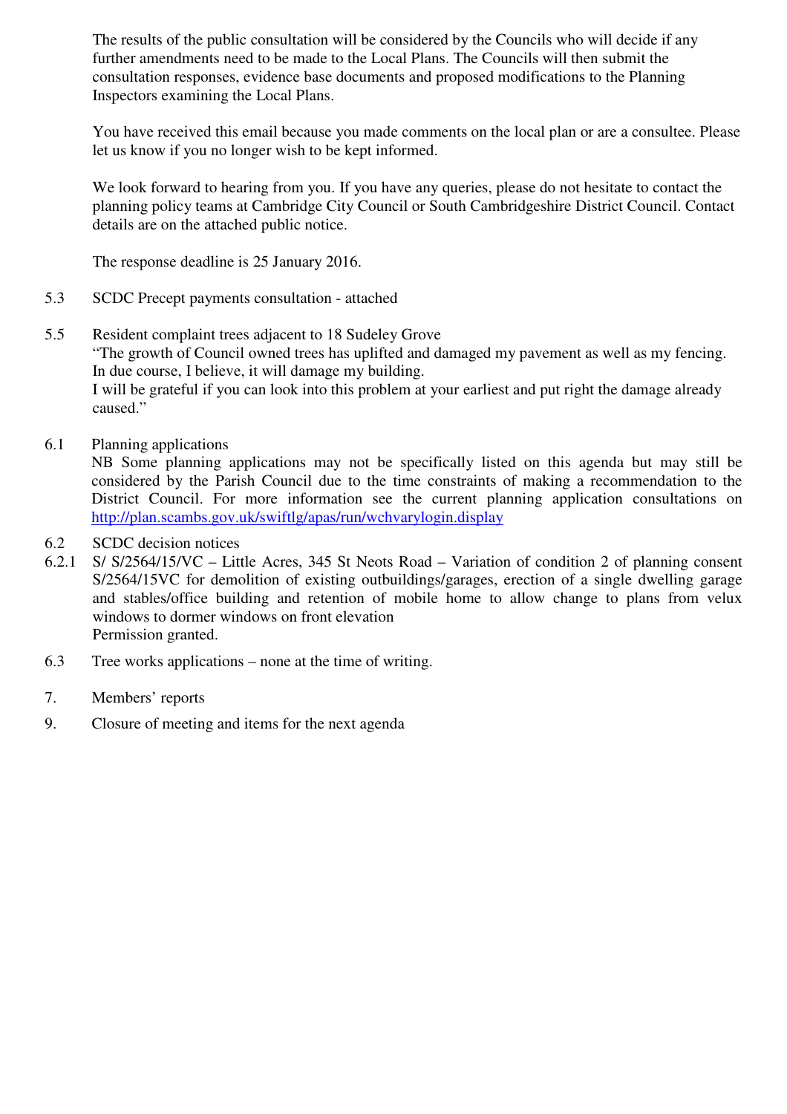The results of the public consultation will be considered by the Councils who will decide if any further amendments need to be made to the Local Plans. The Councils will then submit the consultation responses, evidence base documents and proposed modifications to the Planning Inspectors examining the Local Plans.

You have received this email because you made comments on the local plan or are a consultee. Please let us know if you no longer wish to be kept informed.

We look forward to hearing from you. If you have any queries, please do not hesitate to contact the planning policy teams at Cambridge City Council or South Cambridgeshire District Council. Contact details are on the attached public notice.

The response deadline is 25 January 2016.

- 5.3 SCDC Precept payments consultation attached
- 5.5 Resident complaint trees adjacent to 18 Sudeley Grove "The growth of Council owned trees has uplifted and damaged my pavement as well as my fencing. In due course, I believe, it will damage my building. I will be grateful if you can look into this problem at your earliest and put right the damage already caused."
- 6.1 Planning applications

NB Some planning applications may not be specifically listed on this agenda but may still be considered by the Parish Council due to the time constraints of making a recommendation to the District Council. For more information see the current planning application consultations on http://plan.scambs.gov.uk/swiftlg/apas/run/wchvarylogin.display

- 6.2 SCDC decision notices
- 6.2.1 S/ S/2564/15/VC Little Acres, 345 St Neots Road Variation of condition 2 of planning consent S/2564/15VC for demolition of existing outbuildings/garages, erection of a single dwelling garage and stables/office building and retention of mobile home to allow change to plans from velux windows to dormer windows on front elevation Permission granted.
- 6.3 Tree works applications none at the time of writing.
- 7. Members' reports
- 9. Closure of meeting and items for the next agenda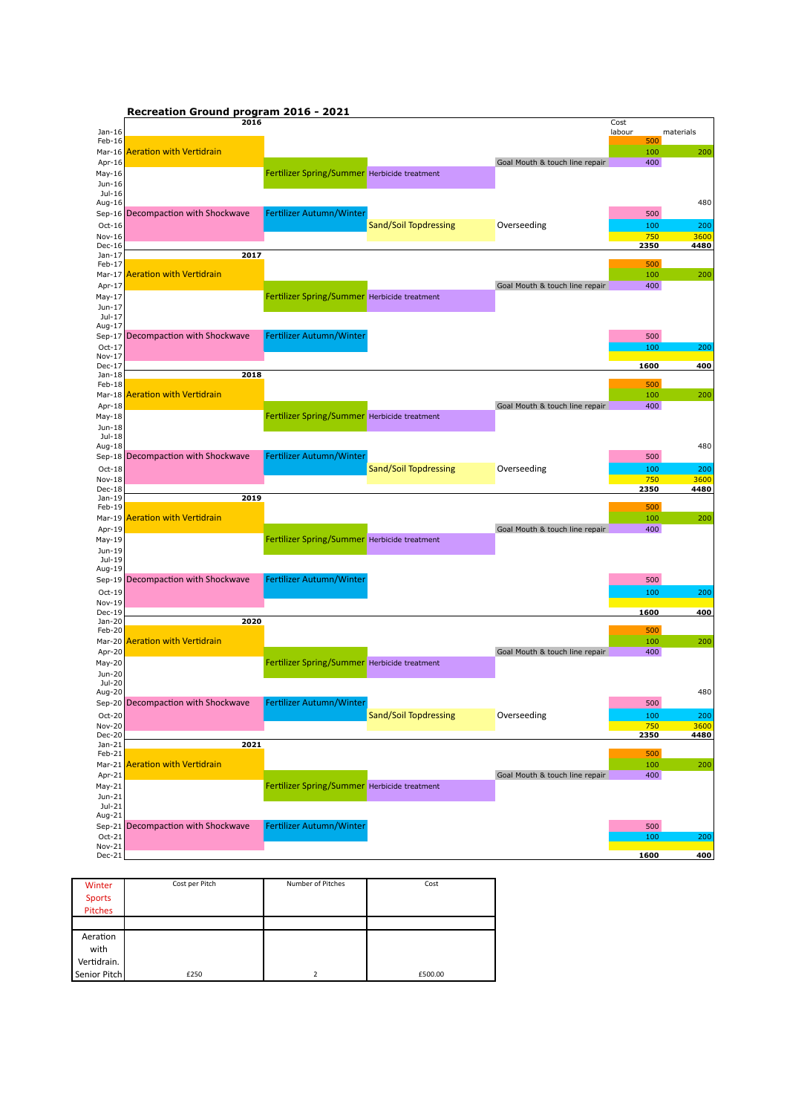| Recreation Ground program 2016 - 2021 |  |  |  |
|---------------------------------------|--|--|--|
|---------------------------------------|--|--|--|

|                    | 2016                               |                                              |                       |                                | Cost          |           |
|--------------------|------------------------------------|----------------------------------------------|-----------------------|--------------------------------|---------------|-----------|
| Jan-16<br>Feb-16   |                                    |                                              |                       |                                | labour<br>500 | materials |
| $Mar-16$           | <b>Aeration with Vertidrain</b>    |                                              |                       |                                | 100           | 200       |
| Apr-16             |                                    |                                              |                       | Goal Mouth & touch line repair | 400           |           |
| May-16             |                                    | Fertilizer Spring/Summer Herbicide treatment |                       |                                |               |           |
| Jun-16             |                                    |                                              |                       |                                |               |           |
| Jul-16             |                                    |                                              |                       |                                |               |           |
| Aug-16             |                                    |                                              |                       |                                |               | 480       |
| Sep-16             | Decompaction with Shockwave        | Fertilizer Autumn/Winter                     |                       |                                | 500           |           |
| $Oct-16$           |                                    |                                              | Sand/Soil Topdressing | Overseeding                    | 100           | 200       |
| Nov-16             |                                    |                                              |                       |                                | 750           | 3600      |
| Dec-16             |                                    |                                              |                       |                                | 2350          | 4480      |
| $Jan-17$           | 2017                               |                                              |                       |                                |               |           |
| Feb-17             |                                    |                                              |                       |                                | 500           |           |
| $Mar-17$           | <b>Aeration with Vertidrain</b>    |                                              |                       |                                | 100           | 200       |
| Apr-17             |                                    |                                              |                       | Goal Mouth & touch line repair | 400           |           |
| May-17             |                                    | Fertilizer Spring/Summer Herbicide treatment |                       |                                |               |           |
| Jun-17<br>Jul-17   |                                    |                                              |                       |                                |               |           |
| Aug-17             |                                    |                                              |                       |                                |               |           |
|                    | Sep-17 Decompaction with Shockwave | Fertilizer Autumn/Winter                     |                       |                                | 500           |           |
| Oct-17             |                                    |                                              |                       |                                | 100           | 200       |
| Nov-17             |                                    |                                              |                       |                                |               |           |
| Dec-17             |                                    |                                              |                       |                                | 1600          | 400       |
| Jan-18             | 2018                               |                                              |                       |                                |               |           |
| Feb-18             |                                    |                                              |                       |                                | 500           |           |
| Mar-18             | Aeration with Vertidrain           |                                              |                       |                                | 100           | 200       |
| Apr-18             |                                    |                                              |                       | Goal Mouth & touch line repair | 400           |           |
| May-18             |                                    | Fertilizer Spring/Summer Herbicide treatment |                       |                                |               |           |
| Jun-18<br>Jul-18   |                                    |                                              |                       |                                |               |           |
| Aug-18             |                                    |                                              |                       |                                |               | 480       |
|                    | Sep-18 Decompaction with Shockwave | Fertilizer Autumn/Winter                     |                       |                                | 500           |           |
| $Oct-18$           |                                    |                                              | Sand/Soil Topdressing | Overseeding                    | 100           | 200       |
| Nov-18             |                                    |                                              |                       |                                |               | 3600      |
|                    |                                    |                                              |                       |                                |               |           |
|                    |                                    |                                              |                       |                                | 750           |           |
| Dec-18<br>Jan-19   | 2019                               |                                              |                       |                                | 2350          | 4480      |
| $Feb-19$           |                                    |                                              |                       |                                | 500           |           |
| Mar-19             | Aeration with Vertidrain           |                                              |                       |                                | 100           | 200       |
| Apr-19             |                                    |                                              |                       | Goal Mouth & touch line repair | 400           |           |
| May-19             |                                    | Fertilizer Spring/Summer Herbicide treatment |                       |                                |               |           |
| Jun-19             |                                    |                                              |                       |                                |               |           |
| Jul-19             |                                    |                                              |                       |                                |               |           |
| Aug-19             |                                    |                                              |                       |                                |               |           |
| $Sep-19$           | Decompaction with Shockwave        | Fertilizer Autumn/Winter                     |                       |                                | 500           |           |
| $Oct-19$           |                                    |                                              |                       |                                | 100           | 200       |
| Nov-19             |                                    |                                              |                       |                                |               |           |
| Dec-19<br>Jan-20   | 2020                               |                                              |                       |                                | 1600          | 400       |
| Feb-20             |                                    |                                              |                       |                                | 500           |           |
| Mar-20             | <b>Aeration with Vertidrain</b>    |                                              |                       |                                | 100           | 200       |
| Apr-20             |                                    |                                              |                       | Goal Mouth & touch line repair | 400           |           |
| May-20             |                                    | Fertilizer Spring/Summer Herbicide treatment |                       |                                |               |           |
| Jun-20             |                                    |                                              |                       |                                |               |           |
| Jul-20             |                                    |                                              |                       |                                |               |           |
| Aug-20             |                                    |                                              |                       |                                |               | 480       |
|                    | Sep-20 Decompaction with Shockwave | Fertilizer Autumn/Winter                     |                       |                                | 500           |           |
| Oct-20             |                                    |                                              | Sand/Soil Topdressing | Overseeding                    | <b>100</b>    | 200       |
| Nov-20             |                                    |                                              |                       |                                | 750           | 3600      |
| Dec-20             |                                    |                                              |                       |                                | 2350          | 4480      |
| $Jan-21$<br>Feb-21 | 2021                               |                                              |                       |                                | 500           |           |
| $Mar-21$           | <b>Aeration with Vertidrain</b>    |                                              |                       |                                | 100           | 200       |
| Apr-21             |                                    |                                              |                       | Goal Mouth & touch line repair | 400           |           |
| $May-21$           |                                    |                                              |                       |                                |               |           |
| Jun-21             |                                    | Fertilizer Spring/Summer Herbicide treatment |                       |                                |               |           |
| $Jul-21$           |                                    |                                              |                       |                                |               |           |
| Aug-21             |                                    |                                              |                       |                                |               |           |
|                    | Sep-21 Decompaction with Shockwave | Fertilizer Autumn/Winter                     |                       |                                | 500           |           |
| Oct-21             |                                    |                                              |                       |                                | 100           | 200       |
| Nov-21<br>Dec-21   |                                    |                                              |                       |                                | 1600          | 400       |

| Winter        | Cost per Pitch | Number of Pitches | Cost    |
|---------------|----------------|-------------------|---------|
| <b>Sports</b> |                |                   |         |
| Pitches       |                |                   |         |
|               |                |                   |         |
| Aeration      |                |                   |         |
| with          |                |                   |         |
| Vertidrain.   |                |                   |         |
| Senior Pitch  | £250           |                   | £500.00 |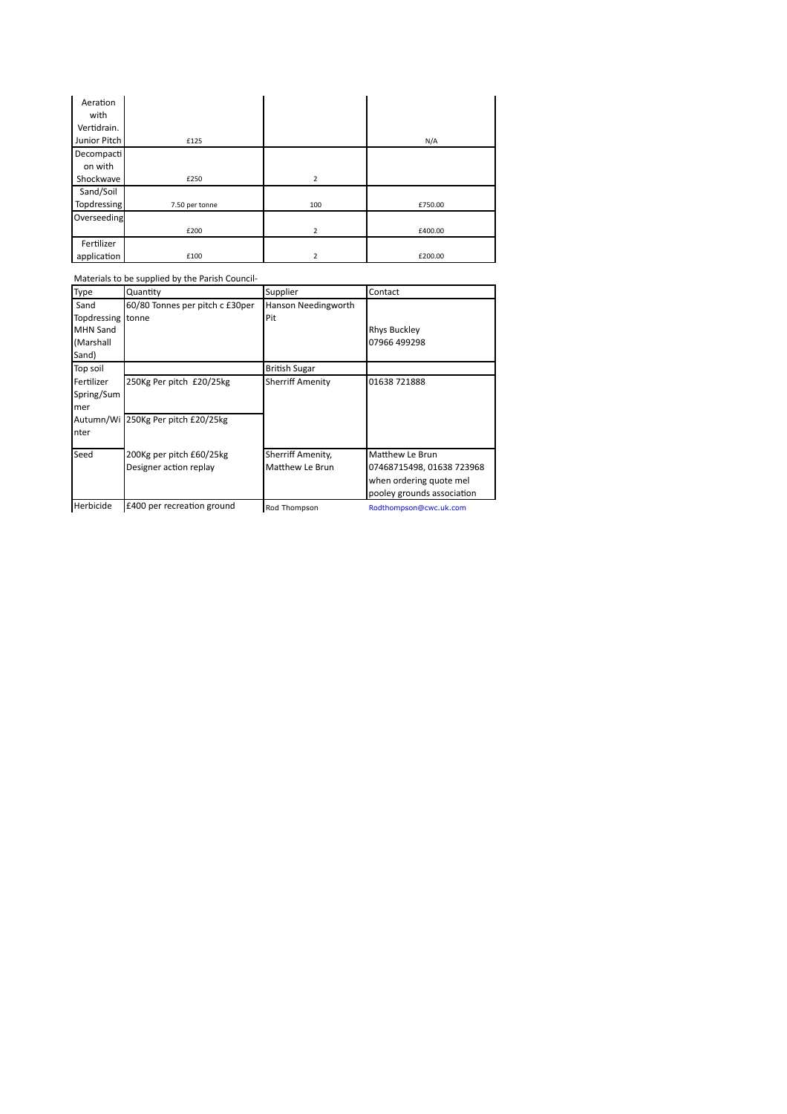| Aeration     |                |                |         |
|--------------|----------------|----------------|---------|
| with         |                |                |         |
| Vertidrain.  |                |                |         |
| Junior Pitch | £125           |                | N/A     |
| Decompacti   |                |                |         |
| on with      |                |                |         |
| Shockwave    | £250           | 2              |         |
| Sand/Soil    |                |                |         |
| Topdressing  | 7.50 per tonne | 100            | £750.00 |
| Overseeding  |                |                |         |
|              | £200           | $\overline{2}$ | £400.00 |
| Fertilizer   |                |                |         |
| application  | £100           | $\overline{2}$ | £200.00 |

|                   | Materials to be supplied by the Parish Council- |                         |                            |
|-------------------|-------------------------------------------------|-------------------------|----------------------------|
| Type              | Quantity                                        | Supplier                | Contact                    |
| Sand              | 60/80 Tonnes per pitch c £30per                 | Hanson Needingworth     |                            |
| Topdressing tonne |                                                 | Pit                     |                            |
| <b>MHN Sand</b>   |                                                 |                         | <b>Rhys Buckley</b>        |
| (Marshall         |                                                 |                         | 07966 499298               |
| Sand)             |                                                 |                         |                            |
| Top soil          |                                                 | <b>British Sugar</b>    |                            |
| Fertilizer        | 250Kg Per pitch £20/25kg                        | <b>Sherriff Amenity</b> | 01638 721888               |
| Spring/Sum        |                                                 |                         |                            |
| mer               |                                                 |                         |                            |
|                   | Autumn/Wi 250Kg Per pitch £20/25kg              |                         |                            |
| nter              |                                                 |                         |                            |
| Seed              | 200Kg per pitch £60/25kg                        | Sherriff Amenity,       | Matthew Le Brun            |
|                   | Designer action replay                          | Matthew Le Brun         | 07468715498, 01638 723968  |
|                   |                                                 |                         | when ordering quote mel    |
|                   |                                                 |                         | pooley grounds association |
| Herbicide         | £400 per recreation ground                      | Rod Thompson            | Rodthompson@cwc.uk.com     |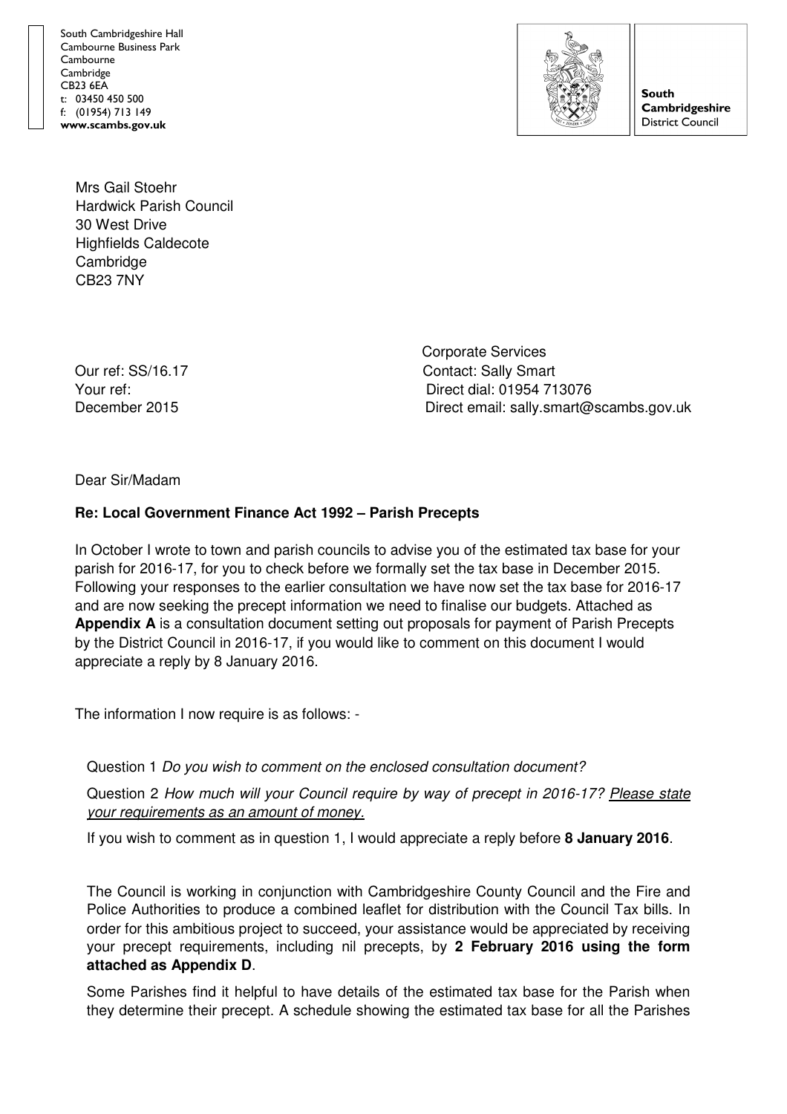South Cambridgeshire Hall Cambourne Business Park Cambourne **Cambridge** CB23 6EA t: 03450 450 500 f: (01954) 713 149 www.scambs.gov.uk



**South Cambridgeshire District Council** 

Mrs Gail Stoehr Hardwick Parish Council 30 West Drive Highfields Caldecote **Cambridge** CB23 7NY

 Corporate Services Our ref: SS/16.17 Contact: Sally Smart Your ref: Direct dial: 01954 713076 December 2015 Direct email: sally.smart@scambs.gov.uk

Dear Sir/Madam

## **Re: Local Government Finance Act 1992 – Parish Precepts**

In October I wrote to town and parish councils to advise you of the estimated tax base for your parish for 2016-17, for you to check before we formally set the tax base in December 2015. Following your responses to the earlier consultation we have now set the tax base for 2016-17 and are now seeking the precept information we need to finalise our budgets. Attached as **Appendix A** is a consultation document setting out proposals for payment of Parish Precepts by the District Council in 2016-17, if you would like to comment on this document I would appreciate a reply by 8 January 2016.

The information I now require is as follows: -

Question 1 Do you wish to comment on the enclosed consultation document?

Question 2 How much will your Council require by way of precept in 2016-17? Please state your requirements as an amount of money.

If you wish to comment as in question 1, I would appreciate a reply before **8 January 2016**.

The Council is working in conjunction with Cambridgeshire County Council and the Fire and Police Authorities to produce a combined leaflet for distribution with the Council Tax bills. In order for this ambitious project to succeed, your assistance would be appreciated by receiving your precept requirements, including nil precepts, by **2 February 2016 using the form attached as Appendix D**.

Some Parishes find it helpful to have details of the estimated tax base for the Parish when they determine their precept. A schedule showing the estimated tax base for all the Parishes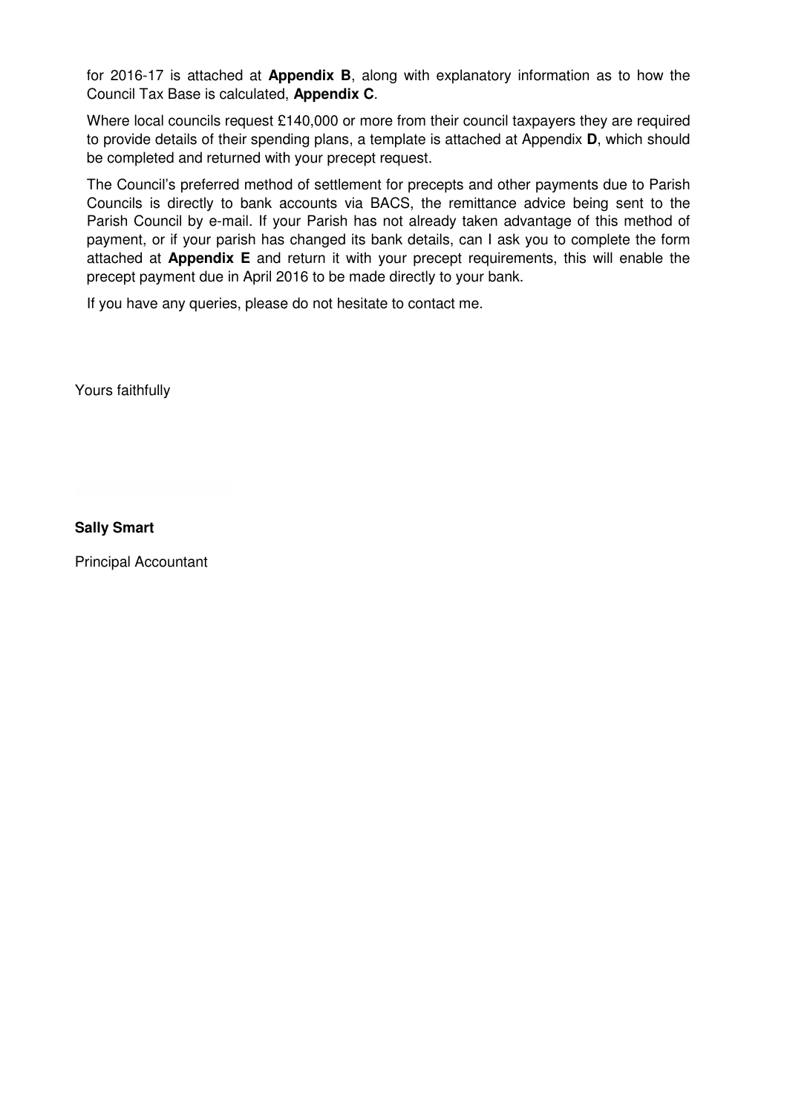for 2016-17 is attached at **Appendix B** , along with explanatory information as to how the Council Tax Base is calculated, **Appendix C**.

Where local councils request £140,000 or more from their council taxpayers they are required to provide details of their spending plans, a template is attached at Appendix **D**, which should be completed and returned with your precept request.

The Council's preferred method of settlement for precepts and other payments due to Parish Councils is directly to bank accounts via BACS, the remittance advice being sent to the Parish Council by e-mail. If your Parish has not already taken advantage of this method of payment, or if your parish has changed its bank details, can I ask you to complete the form Councils is directly to bank accounts via BACS, the remittance advice being sent to the<br>Parish Council by e-mail. If your Parish has not already taken advantage of this method of<br>payment, or if your parish has changed its precept payment due in April 2016 to be made directly to your bank.

If you have any queries, please do not hesitate to contact me.

Yours faithfully

**Sally Smart**

Principal Accountant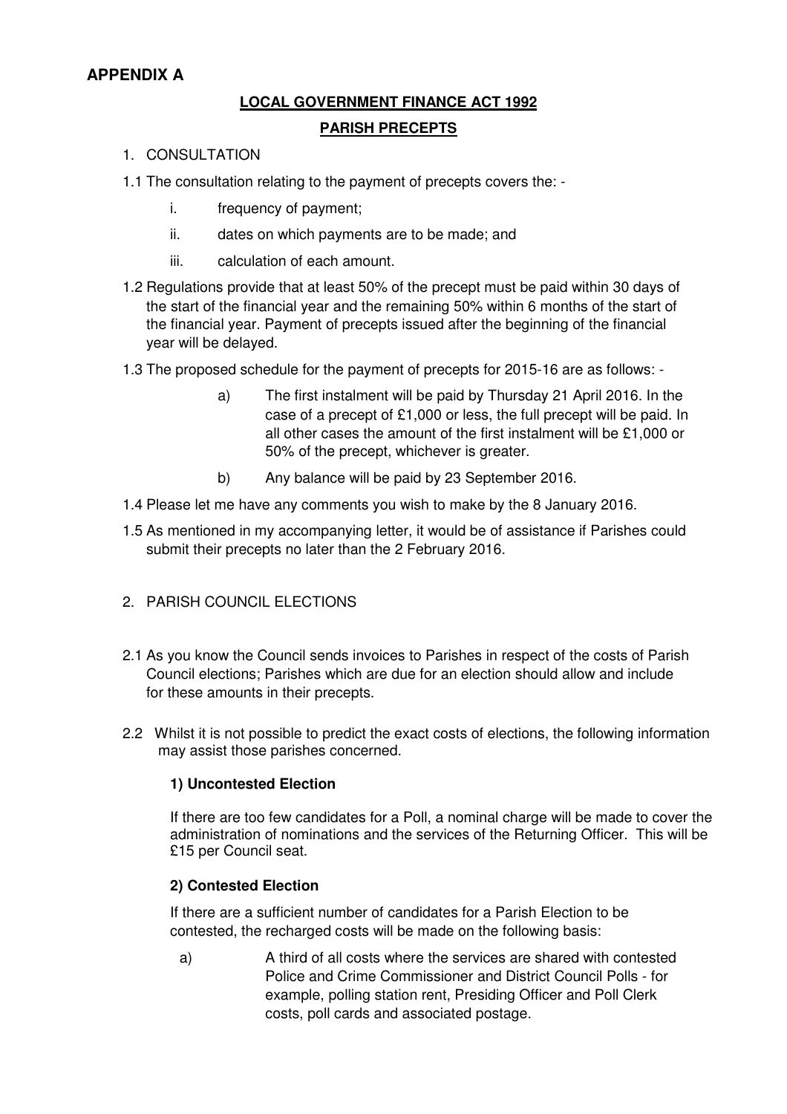# **APPENDIX A**

# **LOCAL GOVERNMENT FINANCE ACT 1992 PARISH PRECEPTS**

- 1. CONSULTATION
- 1.1 The consultation relating to the payment of precepts covers the:
	- i. frequency of payment;
	- ii. dates on which payments are to be made; and
	- iii. calculation of each amount.
- 1.2 Regulations provide that at least 50% of the precept must be paid within 30 days of the start of the financial year and the remaining 50% within 6 months of the start of the financial year. Payment of precepts issued after the beginning of the financial year will be delayed.
- 1.3 The proposed schedule for the payment of precepts for 2015-16 are as follows:
	- a) The first instalment will be paid by Thursday 21 April 2016. In the case of a precept of £1,000 or less, the full precept will be paid. In all other cases the amount of the first instalment will be £1,000 or 50% of the precept, whichever is greater.
	- b) Any balance will be paid by 23 September 2016.
- 1.4 Please let me have any comments you wish to make by the 8 January 2016.
- 1.5 As mentioned in my accompanying letter, it would be of assistance if Parishes could submit their precepts no later than the 2 February 2016.
- 2. PARISH COUNCIL ELECTIONS
- 2.1 As you know the Council sends invoices to Parishes in respect of the costs of Parish Council elections; Parishes which are due for an election should allow and include for these amounts in their precepts.
- 2.2 Whilst it is not possible to predict the exact costs of elections, the following information may assist those parishes concerned.

### **1) Uncontested Election**

If there are too few candidates for a Poll, a nominal charge will be made to cover the administration of nominations and the services of the Returning Officer. This will be £15 per Council seat.

### **2) Contested Election**

If there are a sufficient number of candidates for a Parish Election to be contested, the recharged costs will be made on the following basis:

a) A third of all costs where the services are shared with contested Police and Crime Commissioner and District Council Polls - for example, polling station rent, Presiding Officer and Poll Clerk costs, poll cards and associated postage.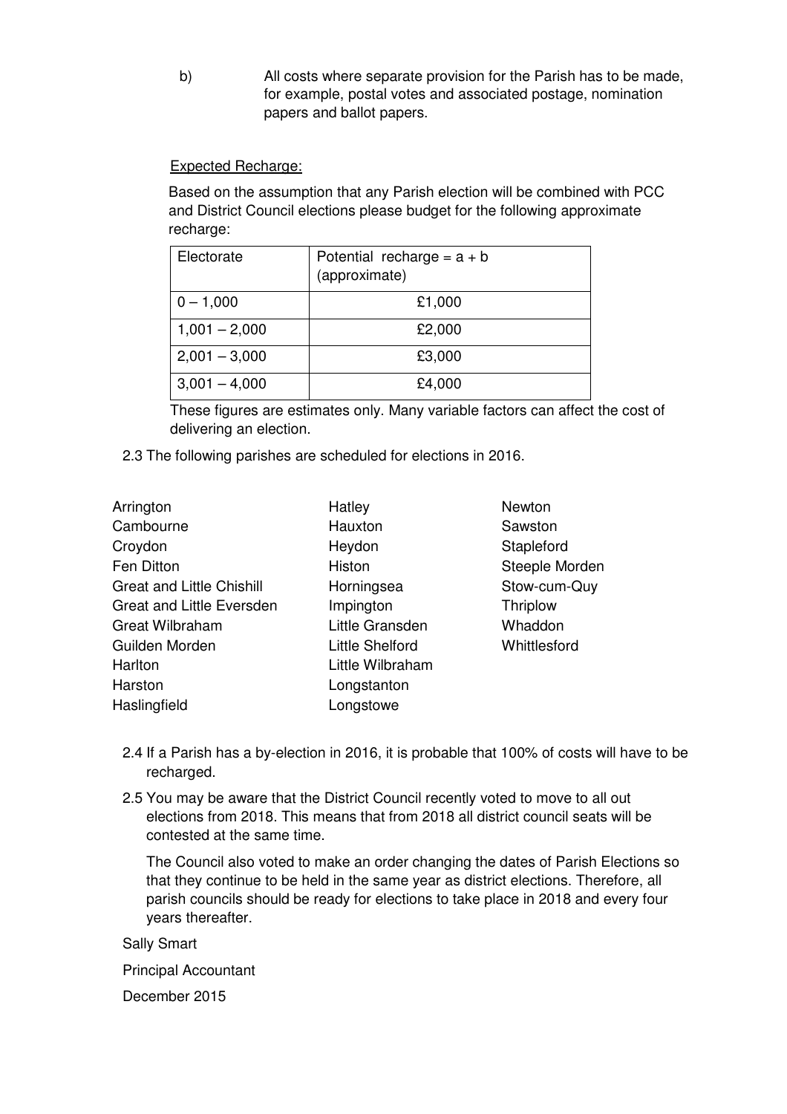b) All costs where separate provision for the Parish has to be made, for example, postal votes and associated postage, nomination papers and ballot papers.

## Expected Recharge:

Based on the assumption that any Parish election will be combined with PCC and District Council elections please budget for the following approximate recharge:

| Electorate      | Potential recharge = $a + b$<br>(approximate) |
|-----------------|-----------------------------------------------|
| $0 - 1,000$     | £1,000                                        |
| $1,001 - 2,000$ | £2,000                                        |
| $2,001 - 3,000$ | £3,000                                        |
| $3,001 - 4,000$ | £4,000                                        |

These figures are estimates only. Many variable factors can affect the cost of delivering an election.

2.3 The following parishes are scheduled for elections in 2016.

| Arrington                        | Hatley                 | Newton          |
|----------------------------------|------------------------|-----------------|
| Cambourne                        | Hauxton                | Sawston         |
| Croydon                          | Heydon                 | Stapleford      |
| Fen Ditton                       | Histon                 | Steeple Morden  |
| <b>Great and Little Chishill</b> | Horningsea             | Stow-cum-Quy    |
| Great and Little Eversden        | Impington              | <b>Thriplow</b> |
| <b>Great Wilbraham</b>           | Little Gransden        | Whaddon         |
| Guilden Morden                   | <b>Little Shelford</b> | Whittlesford    |
| Harlton                          | Little Wilbraham       |                 |
| Harston                          | Longstanton            |                 |
| Haslingfield                     | Longstowe              |                 |
|                                  |                        |                 |

- 2.4 If a Parish has a by-election in 2016, it is probable that 100% of costs will have to be recharged.
- 2.5 You may be aware that the District Council recently voted to move to all out elections from 2018. This means that from 2018 all district council seats will be contested at the same time.

The Council also voted to make an order changing the dates of Parish Elections so that they continue to be held in the same year as district elections. Therefore, all parish councils should be ready for elections to take place in 2018 and every four years thereafter.

Sally Smart

Principal Accountant

December 2015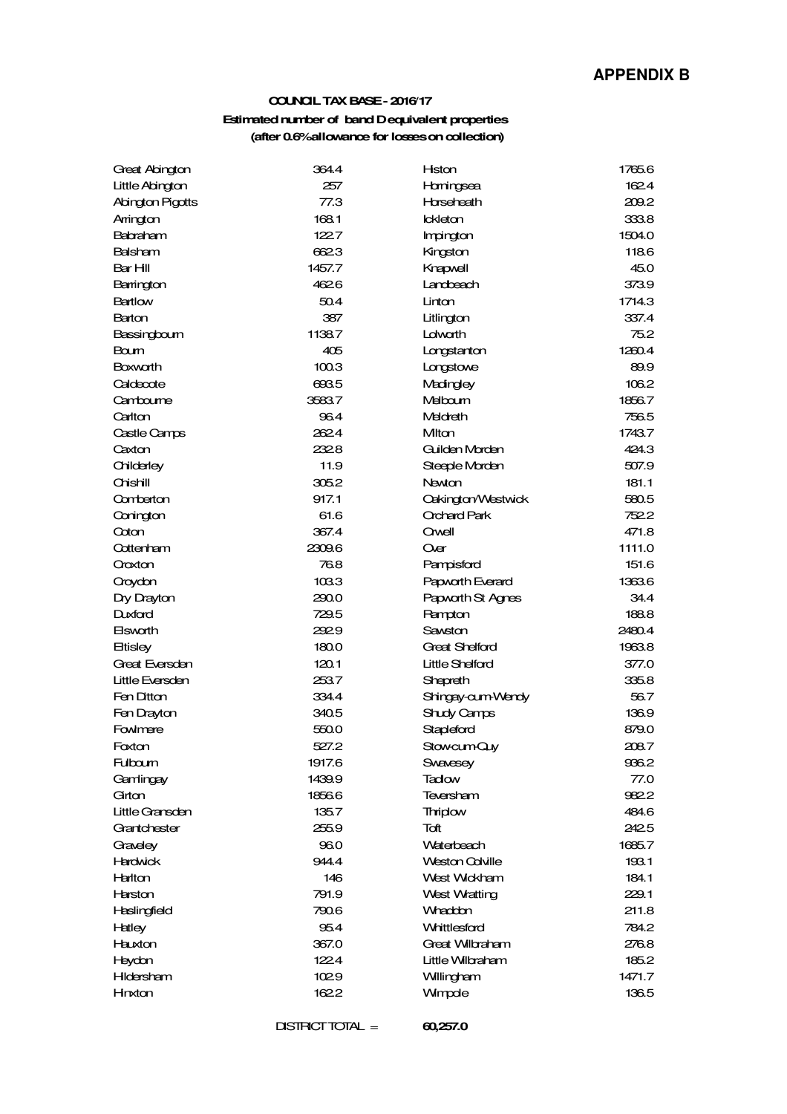#### **COUNCIL TAX BASE - 2016/17**

#### **Estimated number of band D equivalent properties (after 0.6% allowance for losses on collection)**

| Great Abington   | 364.4  | Hston                     | 1765.6 |
|------------------|--------|---------------------------|--------|
| Little Abington  | 257    | Homingsea                 | 162.4  |
| Abington Pigotts | 77.3   | Horseheath                | 209.2  |
| Arrington        | 168.1  | <b>Ickleton</b>           | 333.8  |
| <b>Babraham</b>  | 122.7  | Impington                 | 1504.0 |
| <b>Balsham</b>   | 6623   | Kingston                  | 118.6  |
| Bar Hill         | 1457.7 | Knapwell                  | 45.0   |
| Barrington       | 462.6  | Landbeach                 | 373.9  |
| <b>Bartlow</b>   | 50.4   | Linton                    | 1714.3 |
| Barton           | 387    | Litlington                | 337.4  |
| Bassingboum      | 1138.7 | Ldwath                    | 75.2   |
| Boum             | 405    | Longstanton               | 1260.4 |
| <b>Boxworth</b>  | 100.3  | Langstowe                 | 89.9   |
| Caldecote        | 693.5  | Madingley                 | 106.2  |
| Cambourne        | 3583.7 | Melbourn                  | 1856.7 |
| Carlton          | 96.4   | Meldreth                  | 756.5  |
| Castle Camps     | 2624   | Miton                     | 1743.7 |
| Caxton           | 232.8  | Guilden Morden            | 424.3  |
| Childerley       | 11.9   | Steeple Morden            | 507.9  |
| Chishill         | 305.2  | Newton                    | 181.1  |
| Comberton        | 917.1  | <b>Cakington/Westwick</b> | 580.5  |
| Conington        | 61.6   | Orchard Park              | 752.2  |
| Coton            | 367.4  | Owell                     | 471.8  |
| Cottenham        | 2309.6 | Qver                      | 1111.0 |
| Oroxton          | 76.8   | Pampisford                | 151.6  |
| Oroydon          | 103.3  | Papvorth Everard          | 1363.6 |
| Dry Drayton      | 290.0  | Papworth St Agnes         | 34.4   |
| <b>Duxford</b>   | 729.5  | <b>Rampton</b>            | 188.8  |
| <b>Elsworth</b>  | 292.9  | Sawston                   | 2480.4 |
| <b>Etisley</b>   | 180.0  | <b>Great Shelford</b>     | 1963.8 |
| Great Eversden   | 120.1  | <b>Little Shelford</b>    | 377.0  |
| Little Eversden  | 253.7  | Shepreth                  | 335.8  |
| Fen Ditton       | 334.4  | Shingay-cum-Wendy         | 56.7   |
| Fen Drayton      | 340.5  | Shudy Camps               | 136.9  |
| Fowlmere         | 550.0  | Stapleford                | 879.0  |
| Foxton           | 527.2  | StowcumQuy                | 208.7  |
| Fulbourn         | 1917.6 | Swavesey                  | 936.2  |
| Gamlingay        | 1439.9 | Tadow                     | 77.0   |
| Girtan           | 1856.6 | Teversham                 | 9822   |
| Little Gransden  | 135.7  | <b>Thriplow</b>           | 484.6  |
| Grantchester     | 255.9  | Toft                      | 242.5  |
| Graveley         | 96.0   | Waterbeach                | 1685.7 |
| <b>Hardwick</b>  | 944.4  | <b>Weston Colville</b>    | 193.1  |
| <b>Harlton</b>   | 146    | West Wickham              | 184.1  |
| Harston          | 791.9  | West Wratting             | 229.1  |
| Haslingfield     | 790.6  | Whaddon                   | 211.8  |
| Hatley           | 95.4   | <b>Whittlesford</b>       | 784.2  |
| Hauxton          | 367.0  | Great Wilbraham           | 276.8  |
| Heydon           | 122.4  | Little Wilbraham          | 185.2  |
| Hildersham       | 1029   | Willingham                | 1471.7 |
| Hnxton           | 162.2  | Wimpde                    | 136.5  |

DISTRICT TOTAL = **60,257.0**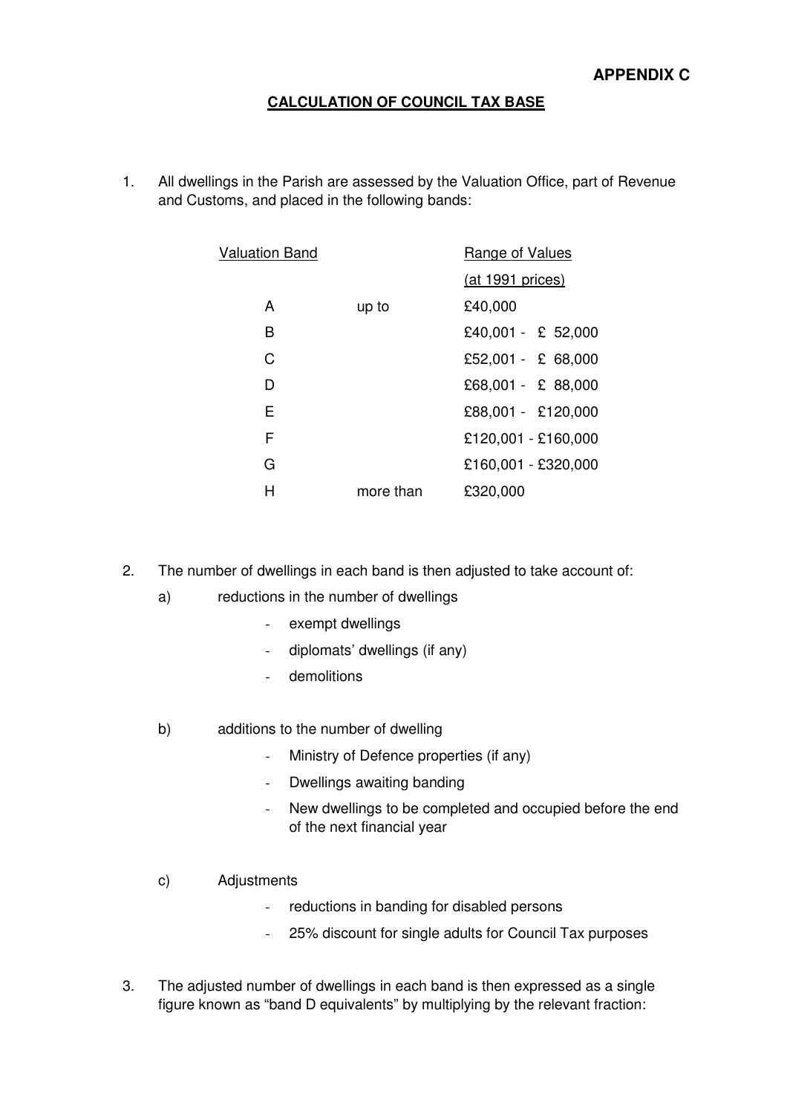## **CALCULATION OF COUNCIL TAX BASE**

1. All dwellings in the Parish are assessed by the Valuation Office, part of Revenue and Customs, and placed in the following bands:

| <b>Valuation Band</b> |           | Range of Values     |  |  |
|-----------------------|-----------|---------------------|--|--|
|                       |           | (at 1991 prices)    |  |  |
| A                     | up to     | £40,000             |  |  |
| B                     |           | £40,001 - £ 52,000  |  |  |
| C                     |           | £52,001 - £ 68,000  |  |  |
| D                     |           | $£68,001 - £88,000$ |  |  |
| E                     |           | £88,001 - £120,000  |  |  |
| F                     |           | £120,001 - £160,000 |  |  |
| G                     |           | £160,001 - £320,000 |  |  |
| н                     | more than | £320,000            |  |  |

- 2. The number of dwellings in each band is then adjusted to take account of:
	- a) reductions in the number of dwellings
		- exempt dwellings
		- diplomats' dwellings (if any)
		- demolitions
	- b) additions to the number of dwelling
		- Ministry of Defence properties (if any)
		- Dwellings awaiting banding
		- New dwellings to be completed and occupied before the end of the next financial year
	- c) Adjustments
		- reductions in banding for disabled persons
		- 25% discount for single adults for Council Tax purposes
- 3. The adjusted number of dwellings in each band is then expressed as a single figure known as "band D equivalents" by multiplying by the relevant fraction: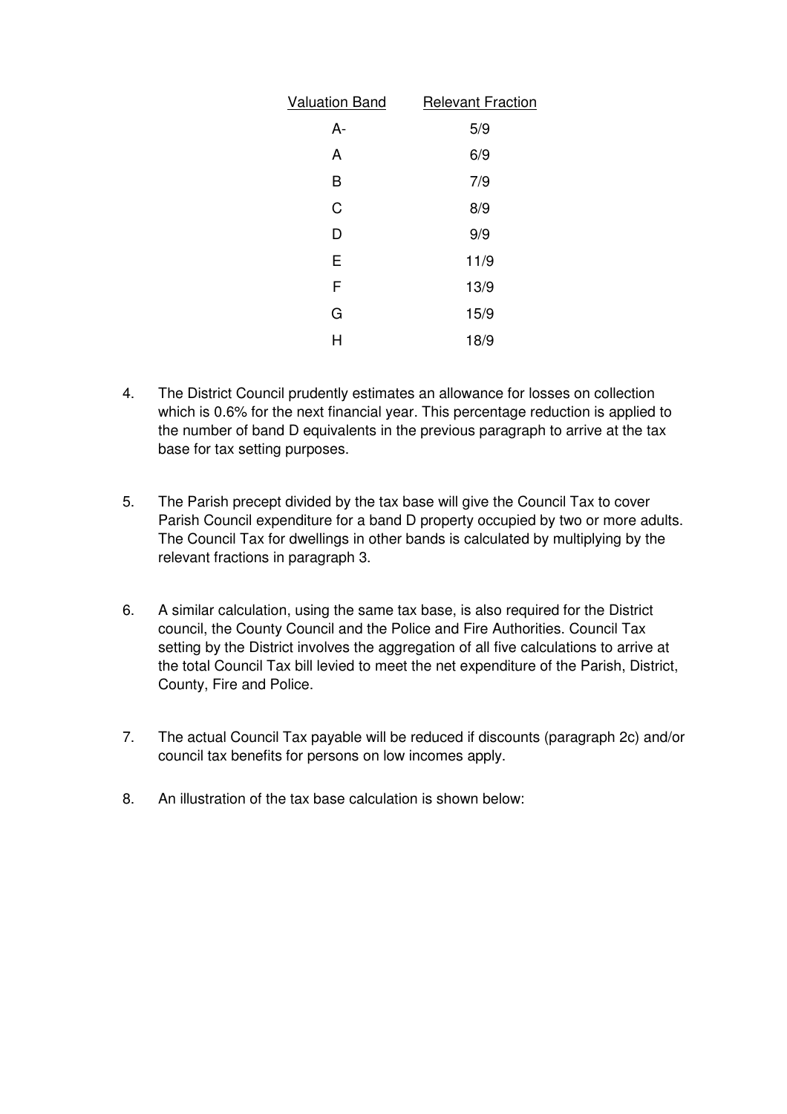| <b>Valuation Band</b> | <b>Relevant Fraction</b> |
|-----------------------|--------------------------|
| A-                    | 5/9                      |
| A                     | 6/9                      |
| B                     | 7/9                      |
| C                     | 8/9                      |
| D                     | 9/9                      |
| E                     | 11/9                     |
| F                     | 13/9                     |
| G                     | 15/9                     |
| н                     | 18/9                     |

- 4. The District Council prudently estimates an allowance for losses on collection which is 0.6% for the next financial year. This percentage reduction is applied to the number of band D equivalents in the previous paragraph to arrive at the tax base for tax setting purposes.
- 5. The Parish precept divided by the tax base will give the Council Tax to cover Parish Council expenditure for a band D property occupied by two or more adults. The Council Tax for dwellings in other bands is calculated by multiplying by the relevant fractions in paragraph 3.
- 6. A similar calculation, using the same tax base, is also required for the District council, the County Council and the Police and Fire Authorities. Council Tax setting by the District involves the aggregation of all five calculations to arrive at the total Council Tax bill levied to meet the net expenditure of the Parish, District, County, Fire and Police.
- 7. The actual Council Tax payable will be reduced if discounts (paragraph 2c) and/or council tax benefits for persons on low incomes apply.
- 8. An illustration of the tax base calculation is shown below: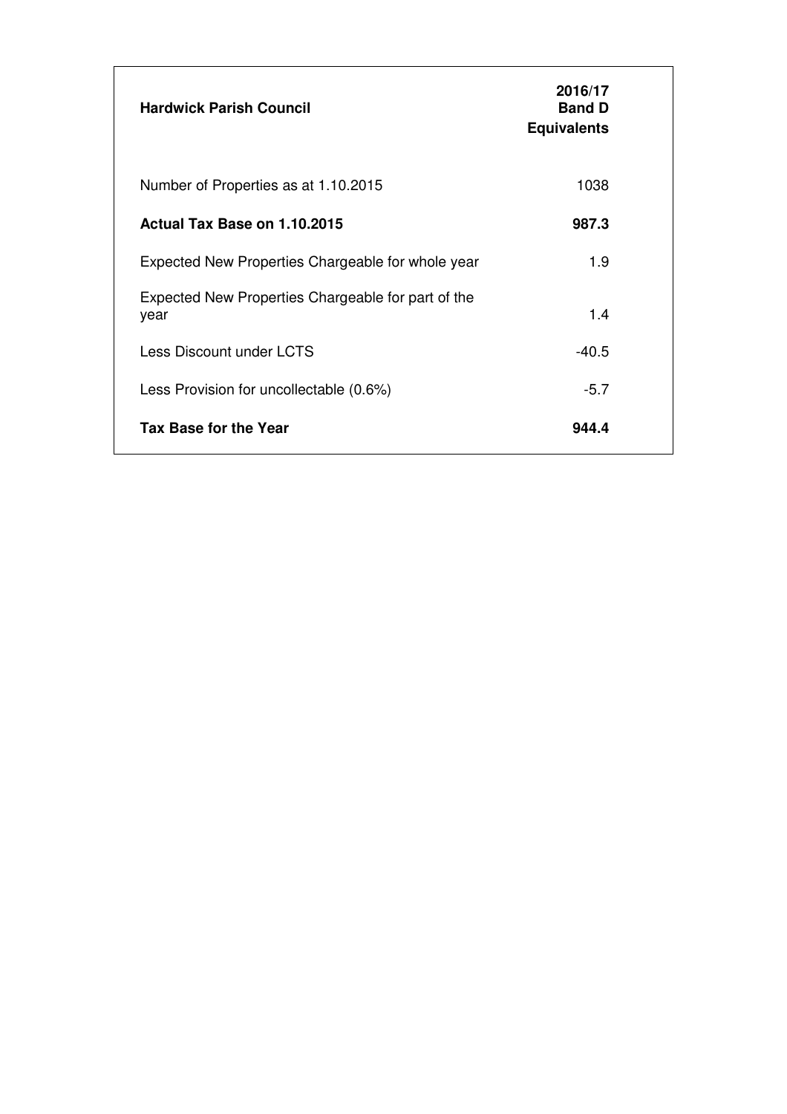| <b>Hardwick Parish Council</b>                             | 2016/17<br><b>Band D</b><br><b>Equivalents</b> |  |
|------------------------------------------------------------|------------------------------------------------|--|
| Number of Properties as at 1.10.2015                       | 1038                                           |  |
| Actual Tax Base on 1.10.2015                               | 987.3                                          |  |
| Expected New Properties Chargeable for whole year          | 1.9                                            |  |
| Expected New Properties Chargeable for part of the<br>year | 1.4                                            |  |
| Less Discount under LCTS                                   | -40.5                                          |  |
| Less Provision for uncollectable (0.6%)                    | $-5.7$                                         |  |
| <b>Tax Base for the Year</b>                               | 944.4                                          |  |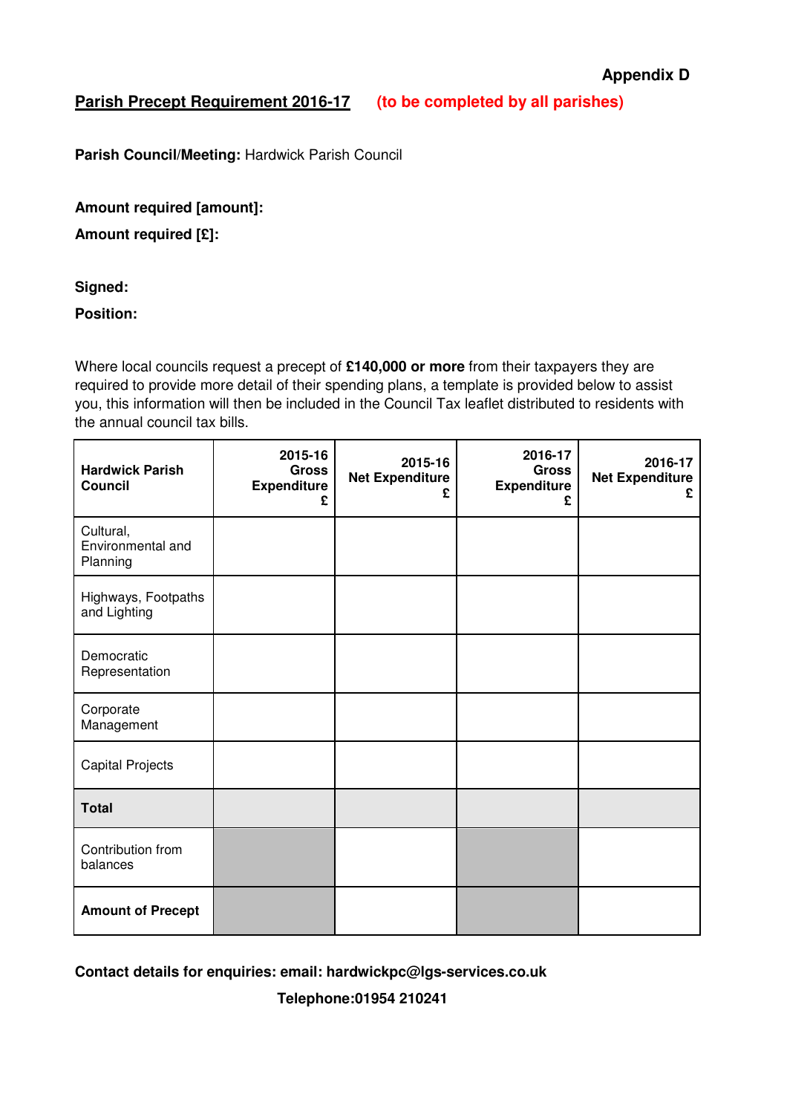## **Parish Precept Requirement 2016-17 (to be completed by all parishes)**

Parish Council/Meeting: Hardwick Parish Council

**Amount required [amount]:** 

**Amount required [£]:** 

### **Signed:**

**Position:** 

Where local councils request a precept of **£140,000 or more** from their taxpayers they are required to provide more detail of their spending plans, a template is provided below to assist you, this information will then be included in the Council Tax leaflet distributed to residents with the annual council tax bills.

| <b>Hardwick Parish</b><br><b>Council</b>   | 2015-16<br><b>Gross</b><br><b>Expenditure</b><br>£ | 2015-16<br><b>Net Expenditure</b><br>£ | 2016-17<br><b>Gross</b><br><b>Expenditure</b><br>£ | 2016-17<br><b>Net Expenditure</b><br>£ |
|--------------------------------------------|----------------------------------------------------|----------------------------------------|----------------------------------------------------|----------------------------------------|
| Cultural,<br>Environmental and<br>Planning |                                                    |                                        |                                                    |                                        |
| Highways, Footpaths<br>and Lighting        |                                                    |                                        |                                                    |                                        |
| Democratic<br>Representation               |                                                    |                                        |                                                    |                                        |
| Corporate<br>Management                    |                                                    |                                        |                                                    |                                        |
| <b>Capital Projects</b>                    |                                                    |                                        |                                                    |                                        |
| <b>Total</b>                               |                                                    |                                        |                                                    |                                        |
| Contribution from<br>balances              |                                                    |                                        |                                                    |                                        |
| <b>Amount of Precept</b>                   |                                                    |                                        |                                                    |                                        |

**Contact details for enquiries: email: hardwickpc@lgs-services.co.uk** 

 **Telephone:01954 210241**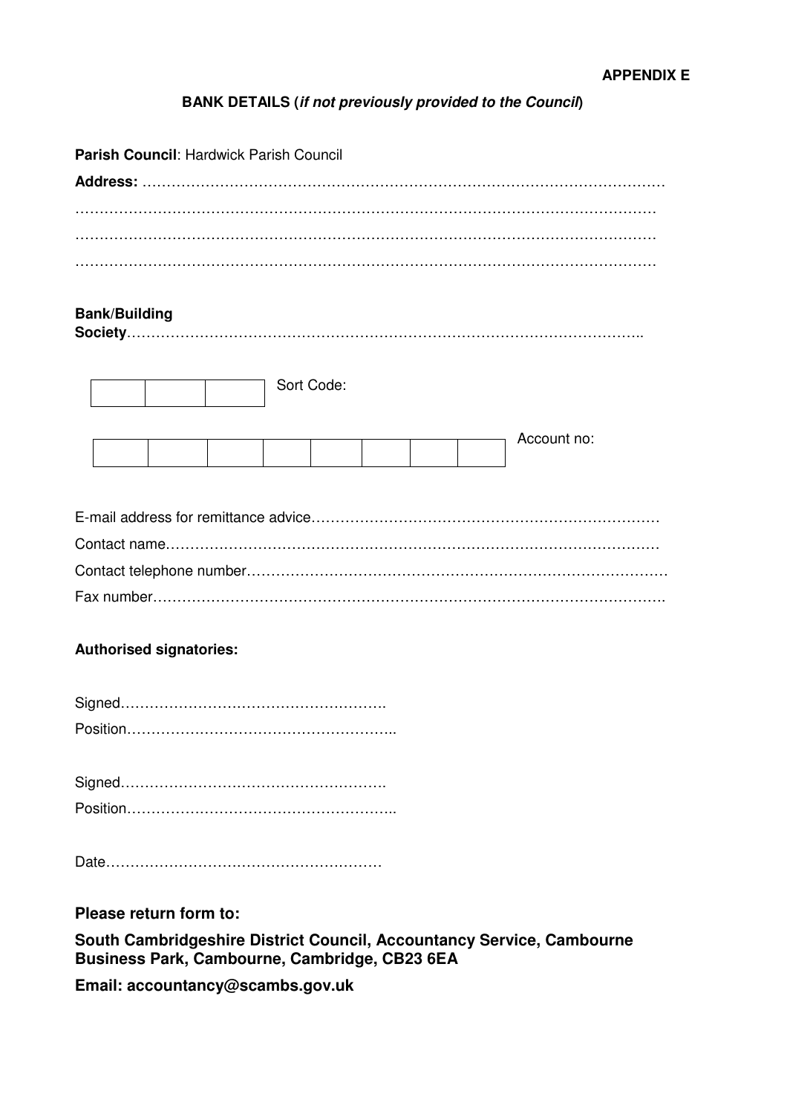## **BANK DETAILS (if not previously provided to the Council)**

| Parish Council: Hardwick Parish Council |  |  |  |  |
|-----------------------------------------|--|--|--|--|
|                                         |  |  |  |  |
|                                         |  |  |  |  |
|                                         |  |  |  |  |
|                                         |  |  |  |  |
|                                         |  |  |  |  |
| <b>Bank/Building</b>                    |  |  |  |  |
|                                         |  |  |  |  |
|                                         |  |  |  |  |
| Sort Code:                              |  |  |  |  |
|                                         |  |  |  |  |
| Account no:                             |  |  |  |  |
|                                         |  |  |  |  |
|                                         |  |  |  |  |
|                                         |  |  |  |  |
|                                         |  |  |  |  |
|                                         |  |  |  |  |
|                                         |  |  |  |  |
|                                         |  |  |  |  |
| <b>Authorised signatories:</b>          |  |  |  |  |
|                                         |  |  |  |  |
|                                         |  |  |  |  |
|                                         |  |  |  |  |
|                                         |  |  |  |  |
|                                         |  |  |  |  |
|                                         |  |  |  |  |
|                                         |  |  |  |  |
|                                         |  |  |  |  |

### **Please return form to:**

**South Cambridgeshire District Council, Accountancy Service, Cambourne Business Park, Cambourne, Cambridge, CB23 6EA** 

**Email: accountancy@scambs.gov.uk**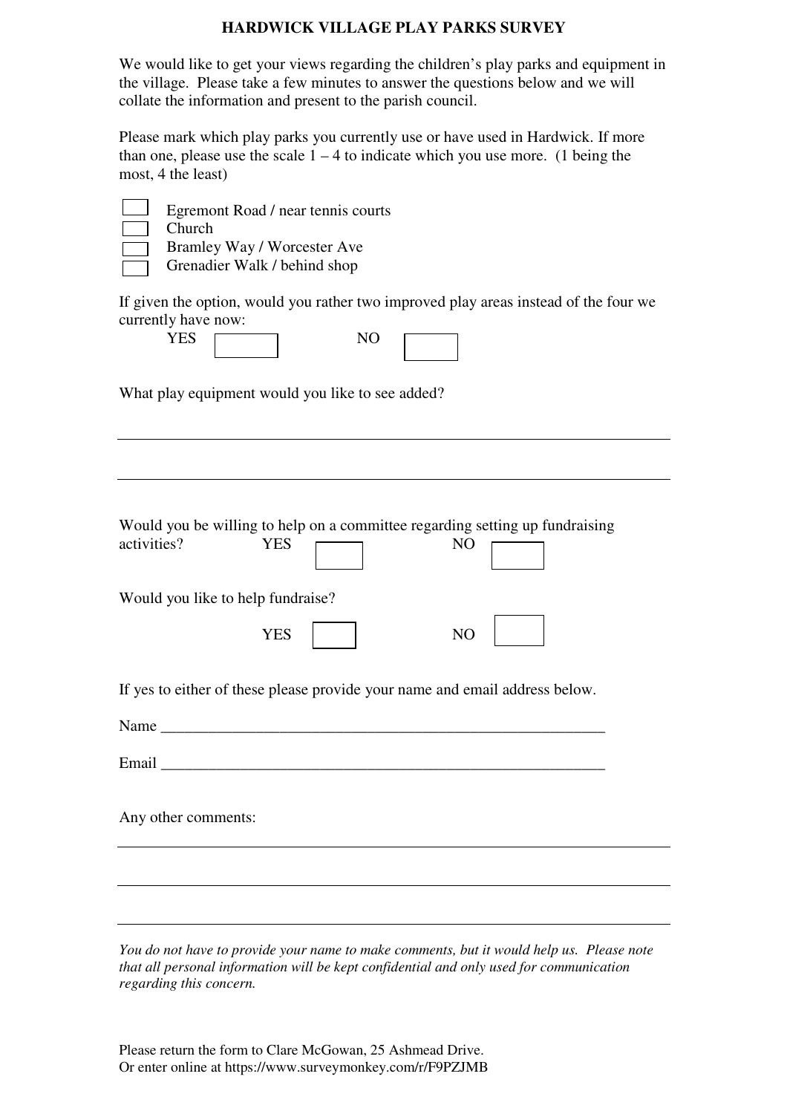### **HARDWICK VILLAGE PLAY PARKS SURVEY**

We would like to get your views regarding the children's play parks and equipment in the village. Please take a few minutes to answer the questions below and we will collate the information and present to the parish council.

Please mark which play parks you currently use or have used in Hardwick. If more than one, please use the scale  $1 - 4$  to indicate which you use more. (1 being the most, 4 the least)

| Egremont Road / near tennis courts<br>Church                                                                                                |
|---------------------------------------------------------------------------------------------------------------------------------------------|
| Bramley Way / Worcester Ave                                                                                                                 |
| Grenadier Walk / behind shop                                                                                                                |
| If given the option, would you rather two improved play areas instead of the four we<br>currently have now:<br><b>YES</b><br>N <sub>O</sub> |
| What play equipment would you like to see added?                                                                                            |
|                                                                                                                                             |
|                                                                                                                                             |
| Would you be willing to help on a committee regarding setting up fundraising<br>activities?<br><b>YES</b><br>N <sub>O</sub>                 |
| Would you like to help fundraise?                                                                                                           |
| <b>YES</b><br>NO                                                                                                                            |
| If yes to either of these please provide your name and email address below.                                                                 |
| Name                                                                                                                                        |
| Email                                                                                                                                       |
| Any other comments:                                                                                                                         |
|                                                                                                                                             |
|                                                                                                                                             |
|                                                                                                                                             |

*You do not have to provide your name to make comments, but it would help us. Please note that all personal information will be kept confidential and only used for communication regarding this concern.* 

Please return the form to Clare McGowan, 25 Ashmead Drive. Or enter online at https://www.surveymonkey.com/r/F9PZJMB